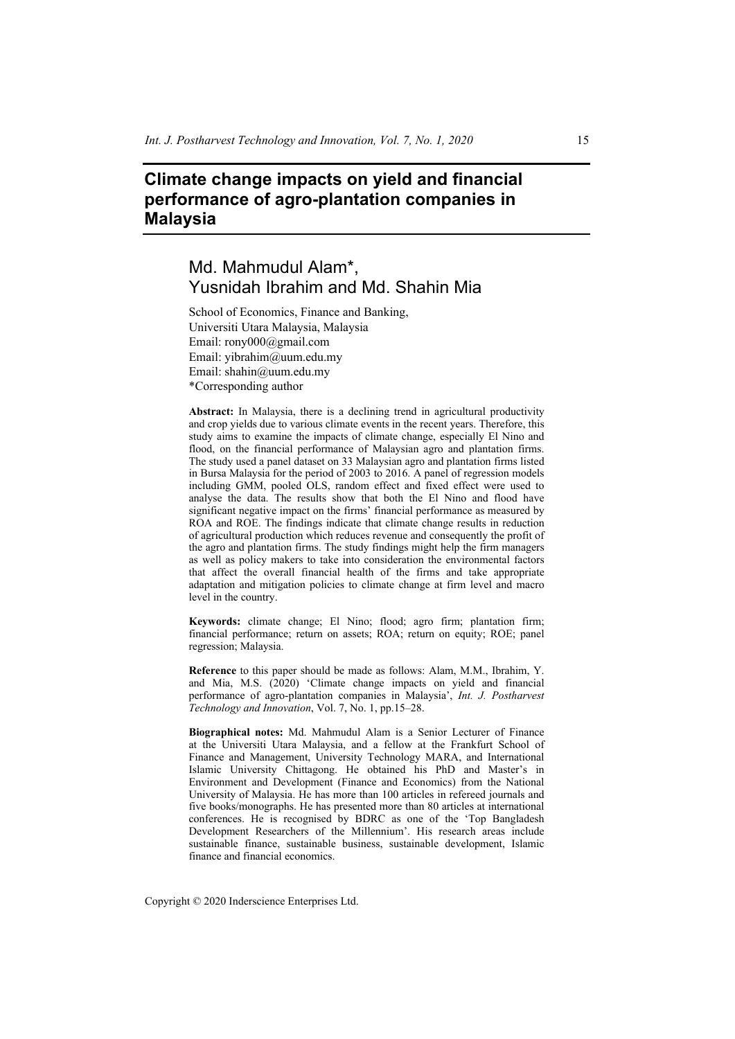# **Climate change impacts on yield and financial performance of agro-plantation companies in Malaysia**

# Md. Mahmudul Alam\*, Yusnidah Ibrahim and Md. Shahin Mia

School of Economics, Finance and Banking, Universiti Utara Malaysia, Malaysia Email: rony000@gmail.com Email: yibrahim@uum.edu.my Email: shahin@uum.edu.my \*Corresponding author

**Abstract:** In Malaysia, there is a declining trend in agricultural productivity and crop yields due to various climate events in the recent years. Therefore, this study aims to examine the impacts of climate change, especially El Nino and flood, on the financial performance of Malaysian agro and plantation firms. The study used a panel dataset on 33 Malaysian agro and plantation firms listed in Bursa Malaysia for the period of 2003 to 2016. A panel of regression models including GMM, pooled OLS, random effect and fixed effect were used to analyse the data. The results show that both the El Nino and flood have significant negative impact on the firms' financial performance as measured by ROA and ROE. The findings indicate that climate change results in reduction of agricultural production which reduces revenue and consequently the profit of the agro and plantation firms. The study findings might help the firm managers as well as policy makers to take into consideration the environmental factors that affect the overall financial health of the firms and take appropriate adaptation and mitigation policies to climate change at firm level and macro level in the country.

**Keywords:** climate change; El Nino; flood; agro firm; plantation firm; financial performance; return on assets; ROA; return on equity; ROE; panel regression; Malaysia.

**Reference** to this paper should be made as follows: Alam, M.M., Ibrahim, Y. and Mia, M.S. (2020) 'Climate change impacts on yield and financial performance of agro-plantation companies in Malaysia', *Int. J. Postharvest Technology and Innovation*, Vol. 7, No. 1, pp.15–28.

**Biographical notes:** Md. Mahmudul Alam is a Senior Lecturer of Finance at the Universiti Utara Malaysia, and a fellow at the Frankfurt School of Finance and Management, University Technology MARA, and International Islamic University Chittagong. He obtained his PhD and Master's in Environment and Development (Finance and Economics) from the National University of Malaysia. He has more than 100 articles in refereed journals and five books/monographs. He has presented more than 80 articles at international conferences. He is recognised by BDRC as one of the 'Top Bangladesh Development Researchers of the Millennium'. His research areas include sustainable finance, sustainable business, sustainable development, Islamic finance and financial economics.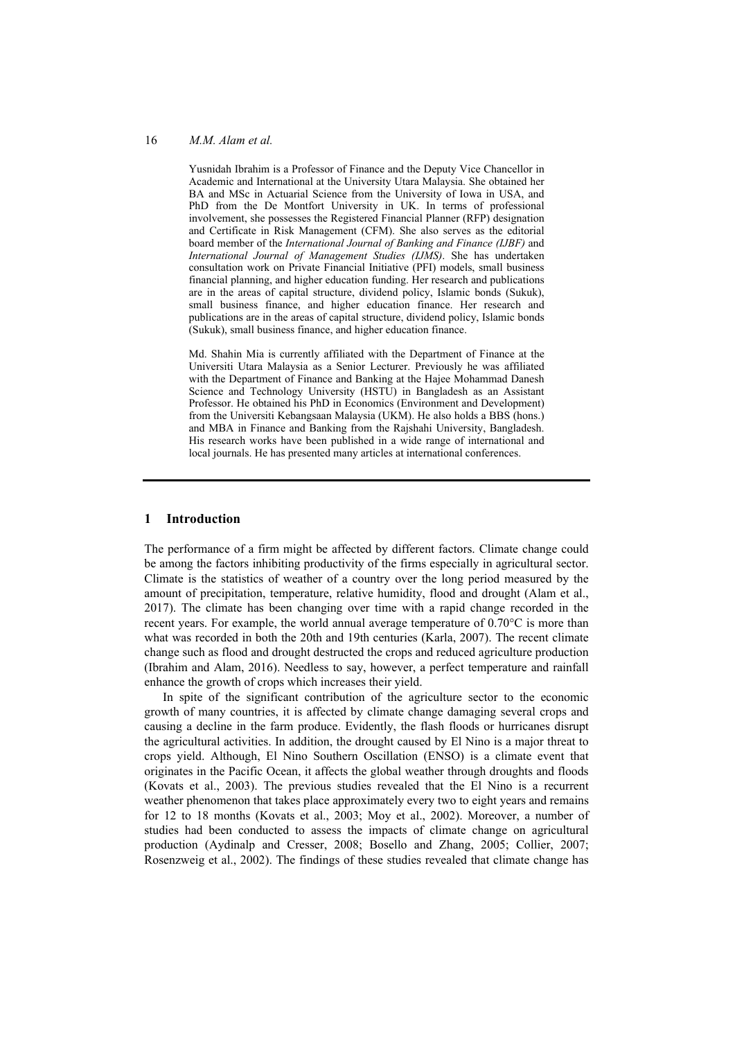#### 16 *M.M. Alam et al.*

Yusnidah Ibrahim is a Professor of Finance and the Deputy Vice Chancellor in Academic and International at the University Utara Malaysia. She obtained her BA and MSc in Actuarial Science from the University of Iowa in USA, and PhD from the De Montfort University in UK. In terms of professional involvement, she possesses the Registered Financial Planner (RFP) designation and Certificate in Risk Management (CFM). She also serves as the editorial board member of the *International Journal of Banking and Finance (IJBF)* and *International Journal of Management Studies (IJMS)*. She has undertaken consultation work on Private Financial Initiative (PFI) models, small business financial planning, and higher education funding. Her research and publications are in the areas of capital structure, dividend policy, Islamic bonds (Sukuk), small business finance, and higher education finance. Her research and publications are in the areas of capital structure, dividend policy, Islamic bonds (Sukuk), small business finance, and higher education finance.

Md. Shahin Mia is currently affiliated with the Department of Finance at the Universiti Utara Malaysia as a Senior Lecturer. Previously he was affiliated with the Department of Finance and Banking at the Hajee Mohammad Danesh Science and Technology University (HSTU) in Bangladesh as an Assistant Professor. He obtained his PhD in Economics (Environment and Development) from the Universiti Kebangsaan Malaysia (UKM). He also holds a BBS (hons.) and MBA in Finance and Banking from the Rajshahi University, Bangladesh. His research works have been published in a wide range of international and local journals. He has presented many articles at international conferences.

### **1 Introduction**

The performance of a firm might be affected by different factors. Climate change could be among the factors inhibiting productivity of the firms especially in agricultural sector. Climate is the statistics of weather of a country over the long period measured by the amount of precipitation, temperature, relative humidity, flood and drought (Alam et al., 2017). The climate has been changing over time with a rapid change recorded in the recent years. For example, the world annual average temperature of 0.70°C is more than what was recorded in both the 20th and 19th centuries (Karla, 2007). The recent climate change such as flood and drought destructed the crops and reduced agriculture production (Ibrahim and Alam, 2016). Needless to say, however, a perfect temperature and rainfall enhance the growth of crops which increases their yield.

In spite of the significant contribution of the agriculture sector to the economic growth of many countries, it is affected by climate change damaging several crops and causing a decline in the farm produce. Evidently, the flash floods or hurricanes disrupt the agricultural activities. In addition, the drought caused by El Nino is a major threat to crops yield. Although, El Nino Southern Oscillation (ENSO) is a climate event that originates in the Pacific Ocean, it affects the global weather through droughts and floods (Kovats et al., 2003). The previous studies revealed that the El Nino is a recurrent weather phenomenon that takes place approximately every two to eight years and remains for 12 to 18 months (Kovats et al., 2003; Moy et al., 2002). Moreover, a number of studies had been conducted to assess the impacts of climate change on agricultural production (Aydinalp and Cresser, 2008; Bosello and Zhang, 2005; Collier, 2007; Rosenzweig et al., 2002). The findings of these studies revealed that climate change has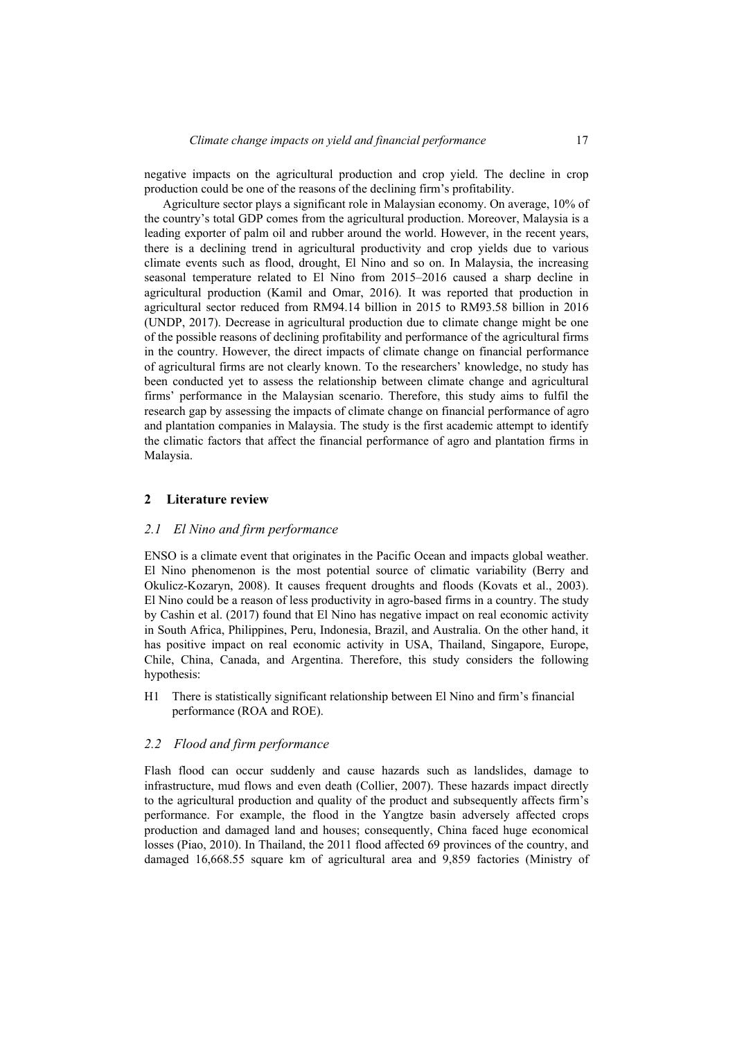negative impacts on the agricultural production and crop yield. The decline in crop production could be one of the reasons of the declining firm's profitability.

Agriculture sector plays a significant role in Malaysian economy. On average, 10% of the country's total GDP comes from the agricultural production. Moreover, Malaysia is a leading exporter of palm oil and rubber around the world. However, in the recent years, there is a declining trend in agricultural productivity and crop yields due to various climate events such as flood, drought, El Nino and so on. In Malaysia, the increasing seasonal temperature related to El Nino from 2015–2016 caused a sharp decline in agricultural production (Kamil and Omar, 2016). It was reported that production in agricultural sector reduced from RM94.14 billion in 2015 to RM93.58 billion in 2016 (UNDP, 2017). Decrease in agricultural production due to climate change might be one of the possible reasons of declining profitability and performance of the agricultural firms in the country. However, the direct impacts of climate change on financial performance of agricultural firms are not clearly known. To the researchers' knowledge, no study has been conducted yet to assess the relationship between climate change and agricultural firms' performance in the Malaysian scenario. Therefore, this study aims to fulfil the research gap by assessing the impacts of climate change on financial performance of agro and plantation companies in Malaysia. The study is the first academic attempt to identify the climatic factors that affect the financial performance of agro and plantation firms in Malaysia.

#### **2 Literature review**

### *2.1 El Nino and firm performance*

ENSO is a climate event that originates in the Pacific Ocean and impacts global weather. El Nino phenomenon is the most potential source of climatic variability (Berry and Okulicz-Kozaryn, 2008). It causes frequent droughts and floods (Kovats et al., 2003). El Nino could be a reason of less productivity in agro-based firms in a country. The study by Cashin et al. (2017) found that El Nino has negative impact on real economic activity in South Africa, Philippines, Peru, Indonesia, Brazil, and Australia. On the other hand, it has positive impact on real economic activity in USA, Thailand, Singapore, Europe, Chile, China, Canada, and Argentina. Therefore, this study considers the following hypothesis:

H1 There is statistically significant relationship between El Nino and firm's financial performance (ROA and ROE).

### *2.2 Flood and firm performance*

Flash flood can occur suddenly and cause hazards such as landslides, damage to infrastructure, mud flows and even death (Collier, 2007). These hazards impact directly to the agricultural production and quality of the product and subsequently affects firm's performance. For example, the flood in the Yangtze basin adversely affected crops production and damaged land and houses; consequently, China faced huge economical losses (Piao, 2010). In Thailand, the 2011 flood affected 69 provinces of the country, and damaged 16,668.55 square km of agricultural area and 9,859 factories (Ministry of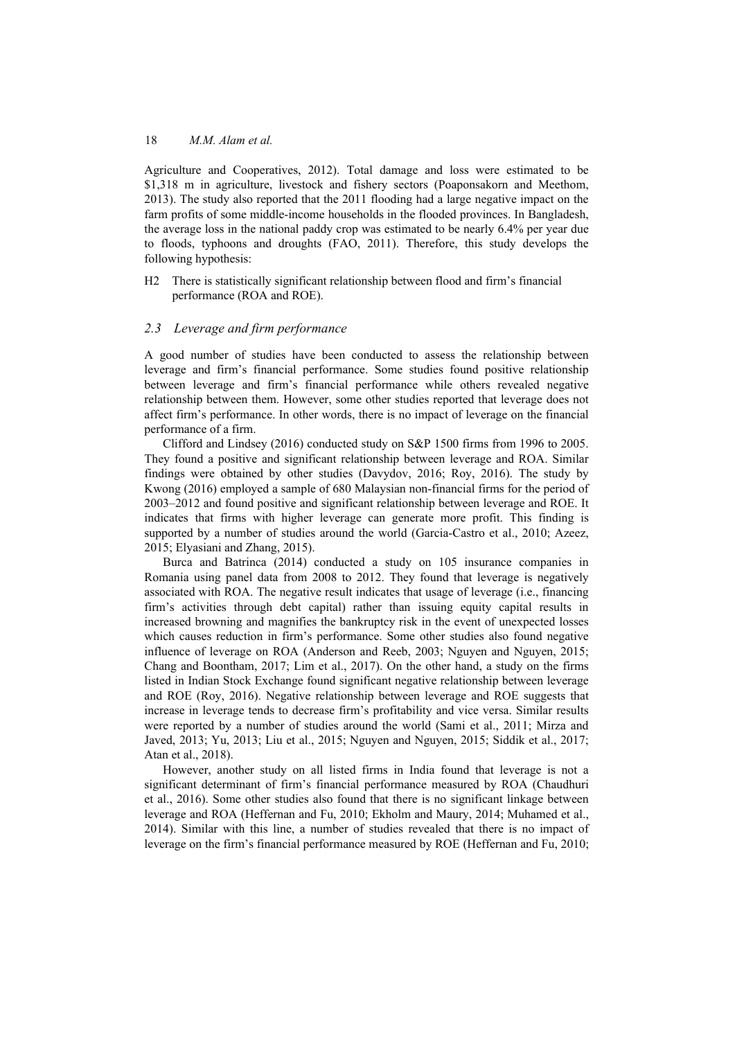Agriculture and Cooperatives, 2012). Total damage and loss were estimated to be \$1,318 m in agriculture, livestock and fishery sectors (Poaponsakorn and Meethom, 2013). The study also reported that the 2011 flooding had a large negative impact on the farm profits of some middle-income households in the flooded provinces. In Bangladesh, the average loss in the national paddy crop was estimated to be nearly 6.4% per year due to floods, typhoons and droughts (FAO, 2011). Therefore, this study develops the following hypothesis:

H2 There is statistically significant relationship between flood and firm's financial performance (ROA and ROE).

## *2.3 Leverage and firm performance*

A good number of studies have been conducted to assess the relationship between leverage and firm's financial performance. Some studies found positive relationship between leverage and firm's financial performance while others revealed negative relationship between them. However, some other studies reported that leverage does not affect firm's performance. In other words, there is no impact of leverage on the financial performance of a firm.

Clifford and Lindsey (2016) conducted study on S&P 1500 firms from 1996 to 2005. They found a positive and significant relationship between leverage and ROA. Similar findings were obtained by other studies (Davydov, 2016; Roy, 2016). The study by Kwong (2016) employed a sample of 680 Malaysian non-financial firms for the period of 2003–2012 and found positive and significant relationship between leverage and ROE. It indicates that firms with higher leverage can generate more profit. This finding is supported by a number of studies around the world (Garcia-Castro et al., 2010; Azeez, 2015; Elyasiani and Zhang, 2015).

Burca and Batrinca (2014) conducted a study on 105 insurance companies in Romania using panel data from 2008 to 2012. They found that leverage is negatively associated with ROA. The negative result indicates that usage of leverage (i.e., financing firm's activities through debt capital) rather than issuing equity capital results in increased browning and magnifies the bankruptcy risk in the event of unexpected losses which causes reduction in firm's performance. Some other studies also found negative influence of leverage on ROA (Anderson and Reeb, 2003; Nguyen and Nguyen, 2015; Chang and Boontham, 2017; Lim et al., 2017). On the other hand, a study on the firms listed in Indian Stock Exchange found significant negative relationship between leverage and ROE (Roy, 2016). Negative relationship between leverage and ROE suggests that increase in leverage tends to decrease firm's profitability and vice versa. Similar results were reported by a number of studies around the world (Sami et al., 2011; Mirza and Javed, 2013; Yu, 2013; Liu et al., 2015; Nguyen and Nguyen, 2015; Siddik et al., 2017; Atan et al., 2018).

However, another study on all listed firms in India found that leverage is not a significant determinant of firm's financial performance measured by ROA (Chaudhuri et al., 2016). Some other studies also found that there is no significant linkage between leverage and ROA (Heffernan and Fu, 2010; Ekholm and Maury, 2014; Muhamed et al., 2014). Similar with this line, a number of studies revealed that there is no impact of leverage on the firm's financial performance measured by ROE (Heffernan and Fu, 2010;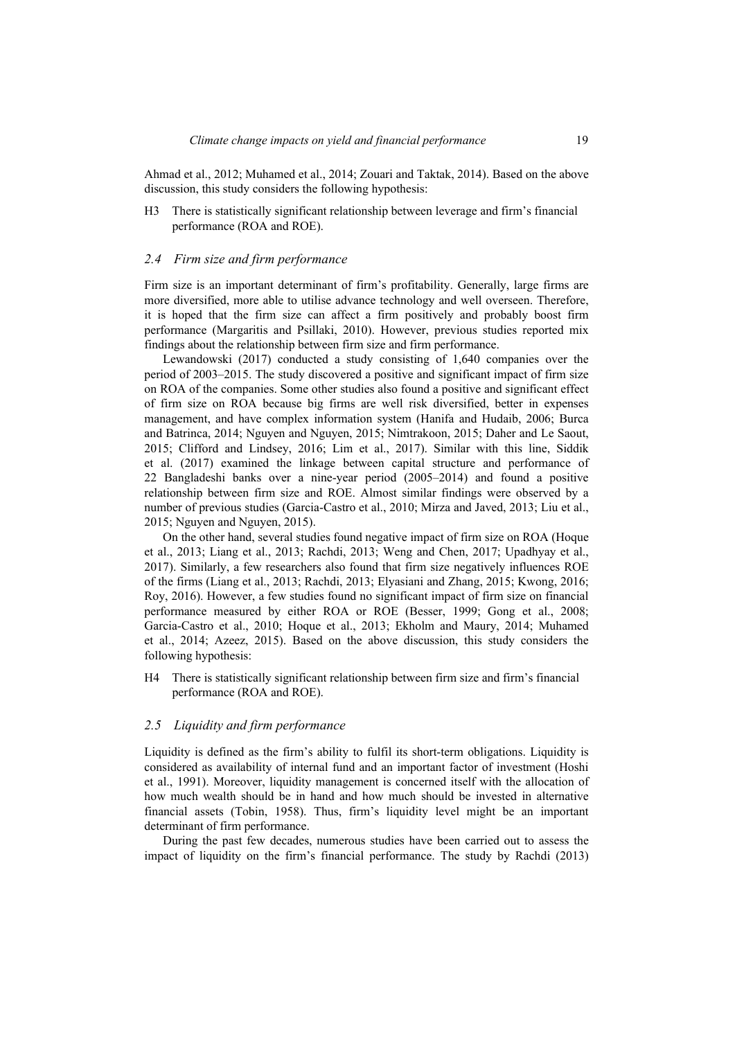Ahmad et al., 2012; Muhamed et al., 2014; Zouari and Taktak, 2014). Based on the above discussion, this study considers the following hypothesis:

H3 There is statistically significant relationship between leverage and firm's financial performance (ROA and ROE).

### *2.4 Firm size and firm performance*

Firm size is an important determinant of firm's profitability. Generally, large firms are more diversified, more able to utilise advance technology and well overseen. Therefore, it is hoped that the firm size can affect a firm positively and probably boost firm performance (Margaritis and Psillaki, 2010). However, previous studies reported mix findings about the relationship between firm size and firm performance.

Lewandowski (2017) conducted a study consisting of 1,640 companies over the period of 2003–2015. The study discovered a positive and significant impact of firm size on ROA of the companies. Some other studies also found a positive and significant effect of firm size on ROA because big firms are well risk diversified, better in expenses management, and have complex information system (Hanifa and Hudaib, 2006; Burca and Batrinca, 2014; Nguyen and Nguyen, 2015; Nimtrakoon, 2015; Daher and Le Saout, 2015; Clifford and Lindsey, 2016; Lim et al., 2017). Similar with this line, Siddik et al. (2017) examined the linkage between capital structure and performance of 22 Bangladeshi banks over a nine-year period (2005–2014) and found a positive relationship between firm size and ROE. Almost similar findings were observed by a number of previous studies (Garcia-Castro et al., 2010; Mirza and Javed, 2013; Liu et al., 2015; Nguyen and Nguyen, 2015).

On the other hand, several studies found negative impact of firm size on ROA (Hoque et al., 2013; Liang et al., 2013; Rachdi, 2013; Weng and Chen, 2017; Upadhyay et al., 2017). Similarly, a few researchers also found that firm size negatively influences ROE of the firms (Liang et al., 2013; Rachdi, 2013; Elyasiani and Zhang, 2015; Kwong, 2016; Roy, 2016). However, a few studies found no significant impact of firm size on financial performance measured by either ROA or ROE (Besser, 1999; Gong et al., 2008; Garcia-Castro et al., 2010; Hoque et al., 2013; Ekholm and Maury, 2014; Muhamed et al., 2014; Azeez, 2015). Based on the above discussion, this study considers the following hypothesis:

H4 There is statistically significant relationship between firm size and firm's financial performance (ROA and ROE).

#### *2.5 Liquidity and firm performance*

Liquidity is defined as the firm's ability to fulfil its short-term obligations. Liquidity is considered as availability of internal fund and an important factor of investment (Hoshi et al., 1991). Moreover, liquidity management is concerned itself with the allocation of how much wealth should be in hand and how much should be invested in alternative financial assets (Tobin, 1958). Thus, firm's liquidity level might be an important determinant of firm performance.

During the past few decades, numerous studies have been carried out to assess the impact of liquidity on the firm's financial performance. The study by Rachdi (2013)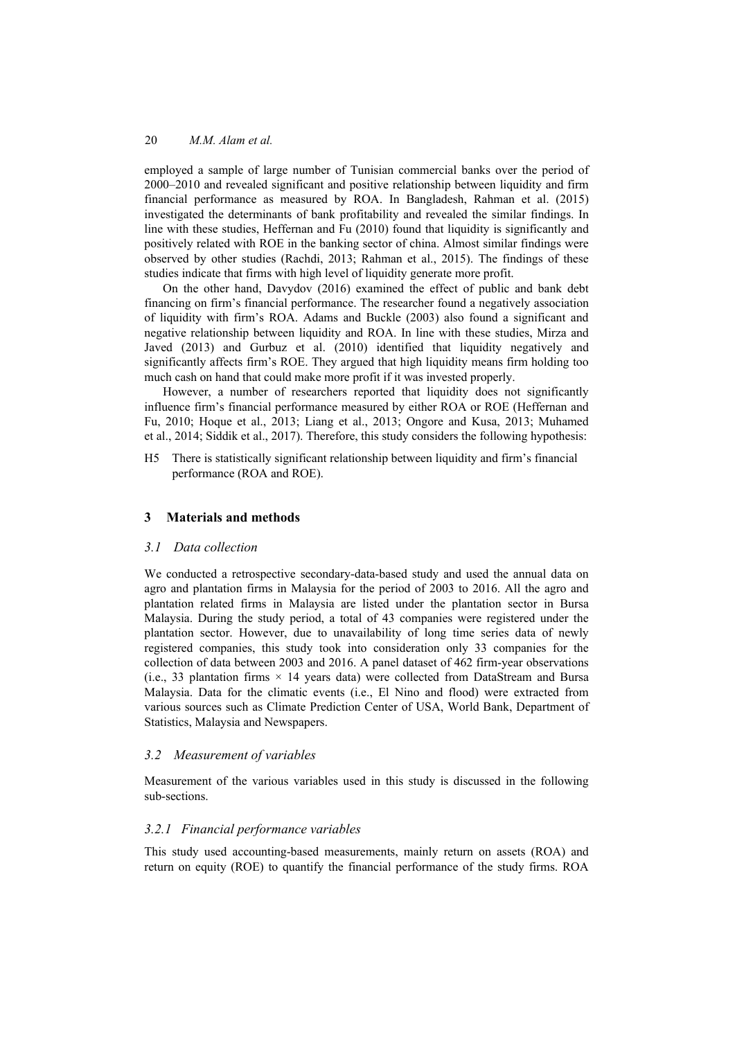employed a sample of large number of Tunisian commercial banks over the period of 2000–2010 and revealed significant and positive relationship between liquidity and firm financial performance as measured by ROA. In Bangladesh, Rahman et al. (2015) investigated the determinants of bank profitability and revealed the similar findings. In line with these studies, Heffernan and Fu (2010) found that liquidity is significantly and positively related with ROE in the banking sector of china. Almost similar findings were observed by other studies (Rachdi, 2013; Rahman et al., 2015). The findings of these studies indicate that firms with high level of liquidity generate more profit.

On the other hand, Davydov (2016) examined the effect of public and bank debt financing on firm's financial performance. The researcher found a negatively association of liquidity with firm's ROA. Adams and Buckle (2003) also found a significant and negative relationship between liquidity and ROA. In line with these studies, Mirza and Javed (2013) and Gurbuz et al. (2010) identified that liquidity negatively and significantly affects firm's ROE. They argued that high liquidity means firm holding too much cash on hand that could make more profit if it was invested properly.

However, a number of researchers reported that liquidity does not significantly influence firm's financial performance measured by either ROA or ROE (Heffernan and Fu, 2010; Hoque et al., 2013; Liang et al., 2013; Ongore and Kusa, 2013; Muhamed et al., 2014; Siddik et al., 2017). Therefore, this study considers the following hypothesis:

H5 There is statistically significant relationship between liquidity and firm's financial performance (ROA and ROE).

# **3 Materials and methods**

# *3.1 Data collection*

We conducted a retrospective secondary-data-based study and used the annual data on agro and plantation firms in Malaysia for the period of 2003 to 2016. All the agro and plantation related firms in Malaysia are listed under the plantation sector in Bursa Malaysia. During the study period, a total of 43 companies were registered under the plantation sector. However, due to unavailability of long time series data of newly registered companies, this study took into consideration only 33 companies for the collection of data between 2003 and 2016. A panel dataset of 462 firm-year observations (i.e., 33 plantation firms  $\times$  14 years data) were collected from DataStream and Bursa Malaysia. Data for the climatic events (i.e., El Nino and flood) were extracted from various sources such as Climate Prediction Center of USA, World Bank, Department of Statistics, Malaysia and Newspapers.

# *3.2 Measurement of variables*

Measurement of the various variables used in this study is discussed in the following sub-sections.

# *3.2.1 Financial performance variables*

This study used accounting-based measurements, mainly return on assets (ROA) and return on equity (ROE) to quantify the financial performance of the study firms. ROA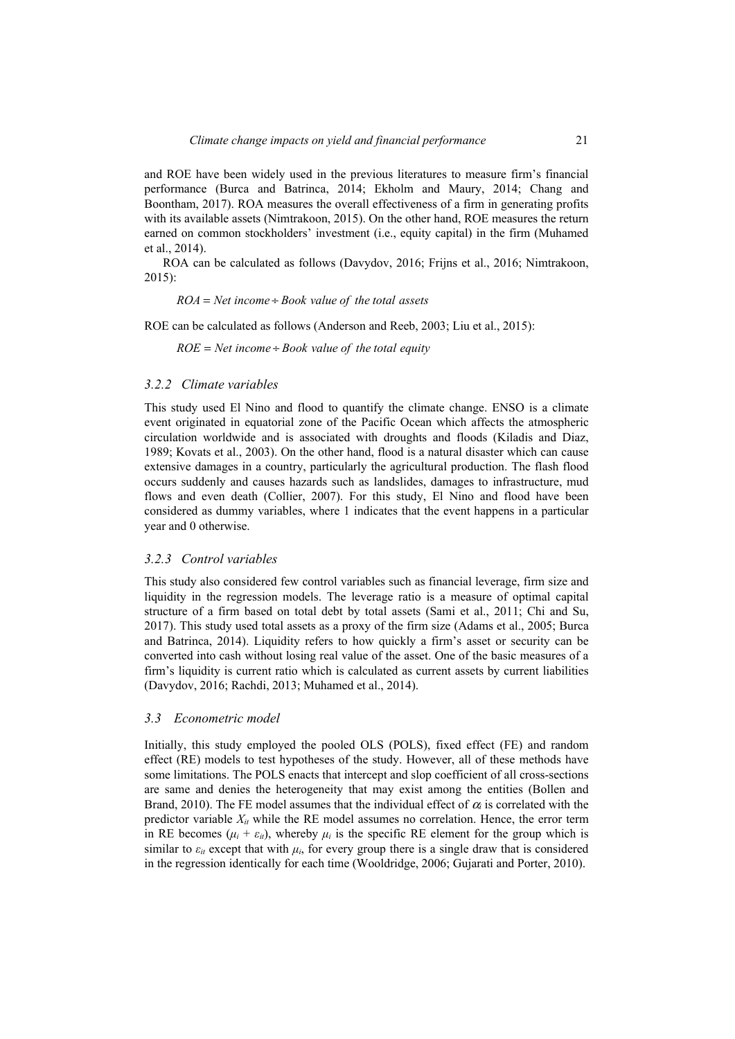and ROE have been widely used in the previous literatures to measure firm's financial performance (Burca and Batrinca, 2014; Ekholm and Maury, 2014; Chang and Boontham, 2017). ROA measures the overall effectiveness of a firm in generating profits with its available assets (Nimtrakoon, 2015). On the other hand, ROE measures the return earned on common stockholders' investment (i.e., equity capital) in the firm (Muhamed et al., 2014).

ROA can be calculated as follows (Davydov, 2016; Frijns et al., 2016; Nimtrakoon, 2015):

$$
ROA = Net income \div Book value of the total assets
$$

ROE can be calculated as follows (Anderson and Reeb, 2003; Liu et al., 2015):

 $ROE = Net$  *income*  $\div$  *Book value of the total equity* 

### *3.2.2 Climate variables*

This study used El Nino and flood to quantify the climate change. ENSO is a climate event originated in equatorial zone of the Pacific Ocean which affects the atmospheric circulation worldwide and is associated with droughts and floods (Kiladis and Diaz, 1989; Kovats et al., 2003). On the other hand, flood is a natural disaster which can cause extensive damages in a country, particularly the agricultural production. The flash flood occurs suddenly and causes hazards such as landslides, damages to infrastructure, mud flows and even death (Collier, 2007). For this study, El Nino and flood have been considered as dummy variables, where 1 indicates that the event happens in a particular year and 0 otherwise.

#### *3.2.3 Control variables*

This study also considered few control variables such as financial leverage, firm size and liquidity in the regression models. The leverage ratio is a measure of optimal capital structure of a firm based on total debt by total assets (Sami et al., 2011; Chi and Su, 2017). This study used total assets as a proxy of the firm size (Adams et al., 2005; Burca and Batrinca, 2014). Liquidity refers to how quickly a firm's asset or security can be converted into cash without losing real value of the asset. One of the basic measures of a firm's liquidity is current ratio which is calculated as current assets by current liabilities (Davydov, 2016; Rachdi, 2013; Muhamed et al., 2014).

### *3.3 Econometric model*

Initially, this study employed the pooled OLS (POLS), fixed effect (FE) and random effect (RE) models to test hypotheses of the study. However, all of these methods have some limitations. The POLS enacts that intercept and slop coefficient of all cross-sections are same and denies the heterogeneity that may exist among the entities (Bollen and Brand, 2010). The FE model assumes that the individual effect of  $\alpha_i$  is correlated with the predictor variable  $X_{it}$  while the RE model assumes no correlation. Hence, the error term in RE becomes  $(\mu_i + \varepsilon_{it})$ , whereby  $\mu_i$  is the specific RE element for the group which is similar to  $\varepsilon_{it}$  except that with  $\mu_i$ , for every group there is a single draw that is considered in the regression identically for each time (Wooldridge, 2006; Gujarati and Porter, 2010).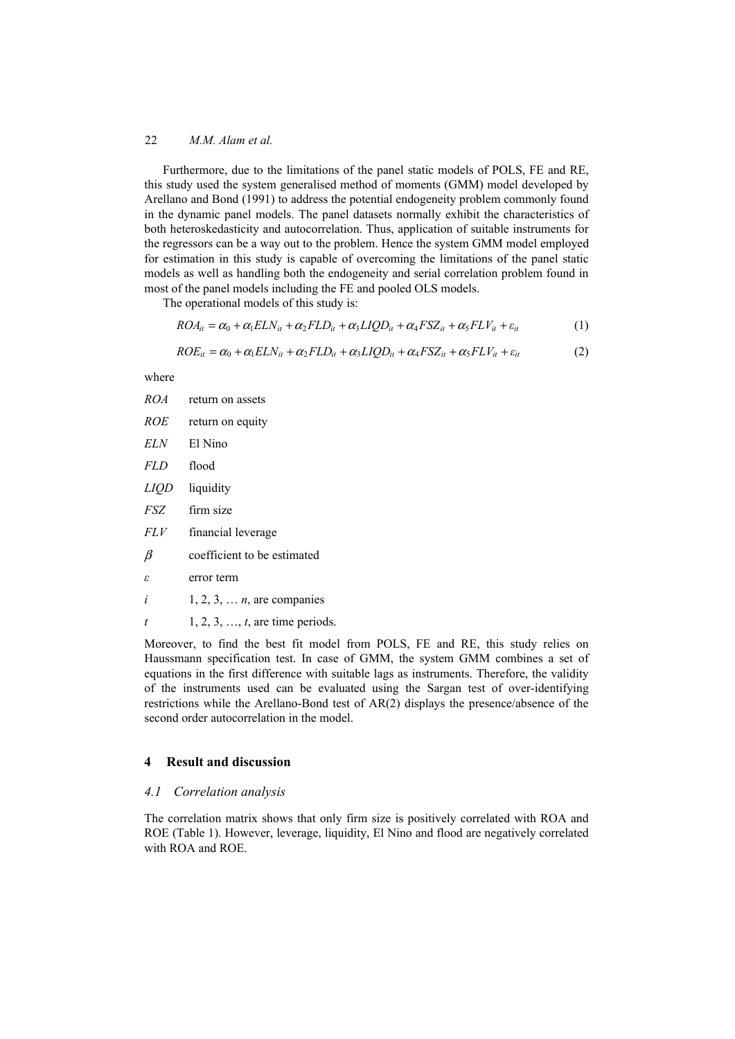Furthermore, due to the limitations of the panel static models of POLS, FE and RE, this study used the system generalised method of moments (GMM) model developed by Arellano and Bond (1991) to address the potential endogeneity problem commonly found in the dynamic panel models. The panel datasets normally exhibit the characteristics of both heteroskedasticity and autocorrelation. Thus, application of suitable instruments for the regressors can be a way out to the problem. Hence the system GMM model employed for estimation in this study is capable of overcoming the limitations of the panel static models as well as handling both the endogeneity and serial correlation problem found in most of the panel models including the FE and pooled OLS models.

The operational models of this study is:

$$
ROA_{it} = \alpha_0 + \alpha_1 ELN_{it} + \alpha_2 FLD_{it} + \alpha_3 LIQD_{it} + \alpha_4 FSZ_{it} + \alpha_5 FLV_{it} + \varepsilon_{it}
$$
(1)

$$
ROE_{it} = \alpha_0 + \alpha_1 ELN_{it} + \alpha_2 FLD_{it} + \alpha_3 LIQD_{it} + \alpha_4 FSZ_{it} + \alpha_5 FLV_{it} + \varepsilon_{it}
$$
 (2)

where

|            | <i>ROA</i> return on assets         |
|------------|-------------------------------------|
| ROE        | return on equity                    |
|            | ELN El Nino                         |
| <i>FLD</i> | flood                               |
|            | LIQD liquidity                      |
| FSZ        | firm size                           |
| <i>FLV</i> | financial leverage                  |
| β          | coefficient to be estimated         |
| ε          | error term                          |
| i          | $1, 2, 3, \ldots n$ , are companies |
| t          | $1, 2, 3, , t$ , are time periods.  |

Moreover, to find the best fit model from POLS, FE and RE, this study relies on Haussmann specification test. In case of GMM, the system GMM combines a set of equations in the first difference with suitable lags as instruments. Therefore, the validity of the instruments used can be evaluated using the Sargan test of over-identifying restrictions while the Arellano-Bond test of AR(2) displays the presence/absence of the second order autocorrelation in the model.

# **4 Result and discussion**

## *4.1 Correlation analysis*

The correlation matrix shows that only firm size is positively correlated with ROA and ROE (Table 1). However, leverage, liquidity, El Nino and flood are negatively correlated with ROA and ROE.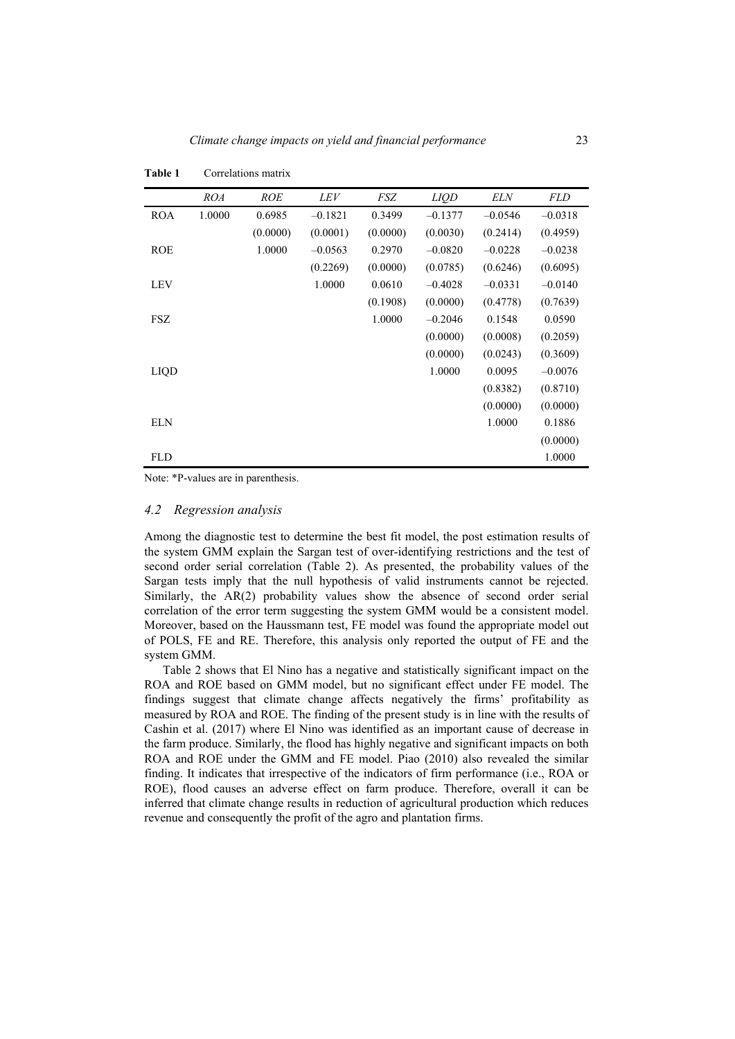|             | <i>ROA</i> | ROE      | <i>LEV</i> | FSZ      | <b>LIQD</b> | <b>ELN</b> | FLD       |
|-------------|------------|----------|------------|----------|-------------|------------|-----------|
| <b>ROA</b>  | 1.0000     | 0.6985   | $-0.1821$  | 0.3499   | $-0.1377$   | $-0.0546$  | $-0.0318$ |
|             |            | (0.0000) | (0.0001)   | (0.0000) | (0.0030)    | (0.2414)   | (0.4959)  |
| <b>ROE</b>  |            | 1.0000   | $-0.0563$  | 0.2970   | $-0.0820$   | $-0.0228$  | $-0.0238$ |
|             |            |          | (0.2269)   | (0.0000) | (0.0785)    | (0.6246)   | (0.6095)  |
| <b>LEV</b>  |            |          | 1.0000     | 0.0610   | $-0.4028$   | $-0.0331$  | $-0.0140$ |
|             |            |          |            | (0.1908) | (0.0000)    | (0.4778)   | (0.7639)  |
| <b>FSZ</b>  |            |          |            | 1.0000   | $-0.2046$   | 0.1548     | 0.0590    |
|             |            |          |            |          | (0.0000)    | (0.0008)   | (0.2059)  |
|             |            |          |            |          | (0.0000)    | (0.0243)   | (0.3609)  |
| <b>LIQD</b> |            |          |            |          | 1.0000      | 0.0095     | $-0.0076$ |
|             |            |          |            |          |             | (0.8382)   | (0.8710)  |
|             |            |          |            |          |             | (0.0000)   | (0.0000)  |
| <b>ELN</b>  |            |          |            |          |             | 1.0000     | 0.1886    |
|             |            |          |            |          |             |            | (0.0000)  |
| <b>FLD</b>  |            |          |            |          |             |            | 1.0000    |

**Table 1** Correlations matrix

Note: \*P-values are in parenthesis.

#### *4.2 Regression analysis*

Among the diagnostic test to determine the best fit model, the post estimation results of the system GMM explain the Sargan test of over-identifying restrictions and the test of second order serial correlation (Table 2). As presented, the probability values of the Sargan tests imply that the null hypothesis of valid instruments cannot be rejected. Similarly, the AR(2) probability values show the absence of second order serial correlation of the error term suggesting the system GMM would be a consistent model. Moreover, based on the Haussmann test, FE model was found the appropriate model out of POLS, FE and RE. Therefore, this analysis only reported the output of FE and the system GMM.

Table 2 shows that El Nino has a negative and statistically significant impact on the ROA and ROE based on GMM model, but no significant effect under FE model. The findings suggest that climate change affects negatively the firms' profitability as measured by ROA and ROE. The finding of the present study is in line with the results of Cashin et al. (2017) where El Nino was identified as an important cause of decrease in the farm produce. Similarly, the flood has highly negative and significant impacts on both ROA and ROE under the GMM and FE model. Piao (2010) also revealed the similar finding. It indicates that irrespective of the indicators of firm performance (i.e., ROA or ROE), flood causes an adverse effect on farm produce. Therefore, overall it can be inferred that climate change results in reduction of agricultural production which reduces revenue and consequently the profit of the agro and plantation firms.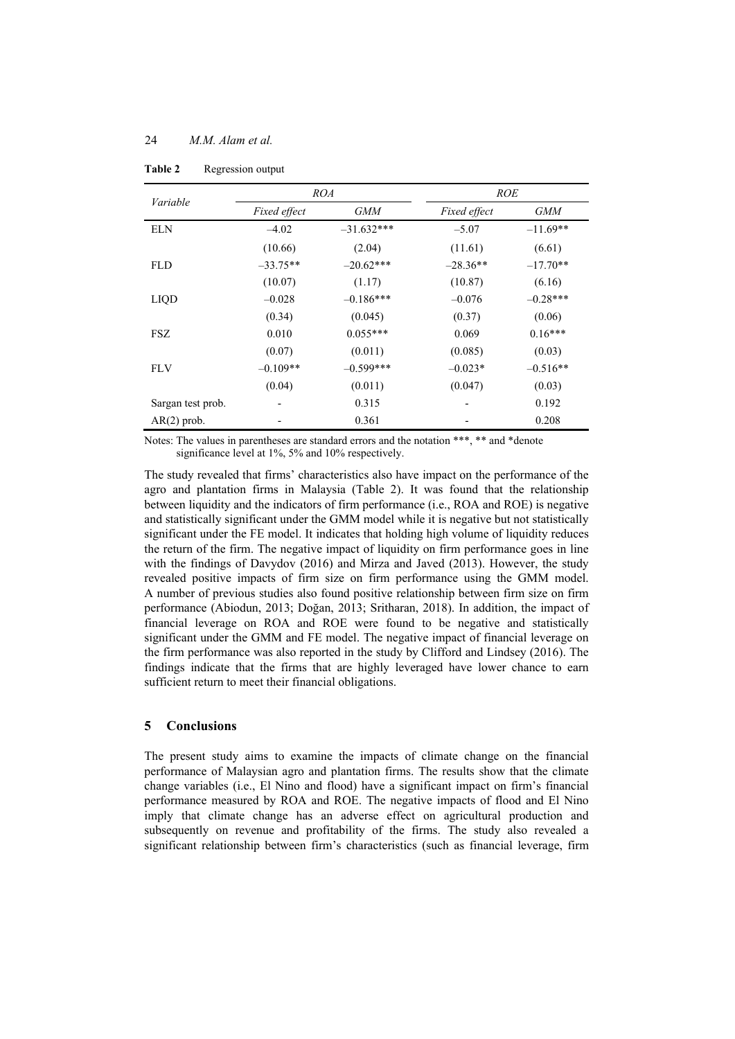| Variable          | <b>ROA</b>   |              | <b>ROE</b>   |            |  |
|-------------------|--------------|--------------|--------------|------------|--|
|                   | Fixed effect | GMM          | Fixed effect | GMM        |  |
| <b>ELN</b>        | $-4.02$      | $-31.632***$ | $-5.07$      | $-11.69**$ |  |
|                   | (10.66)      | (2.04)       | (11.61)      | (6.61)     |  |
| <b>FLD</b>        | $-33.75**$   | $-20.62***$  | $-28.36**$   | $-17.70**$ |  |
|                   | (10.07)      | (1.17)       | (10.87)      | (6.16)     |  |
| <b>LIQD</b>       | $-0.028$     | $-0.186***$  | $-0.076$     | $-0.28***$ |  |
|                   | (0.34)       | (0.045)      | (0.37)       | (0.06)     |  |
| FSZ               | 0.010        | $0.055***$   | 0.069        | $0.16***$  |  |
|                   | (0.07)       | (0.011)      | (0.085)      | (0.03)     |  |
| <b>FLV</b>        | $-0.109**$   | $-0.599***$  | $-0.023*$    | $-0.516**$ |  |
|                   | (0.04)       | (0.011)      | (0.047)      | (0.03)     |  |
| Sargan test prob. |              | 0.315        |              | 0.192      |  |
| $AR(2)$ prob.     |              | 0.361        |              | 0.208      |  |

**Table 2** Regression output

Notes: The values in parentheses are standard errors and the notation \*\*\*, \*\* and \*denote significance level at 1%, 5% and 10% respectively.

The study revealed that firms' characteristics also have impact on the performance of the agro and plantation firms in Malaysia (Table 2). It was found that the relationship between liquidity and the indicators of firm performance (i.e., ROA and ROE) is negative and statistically significant under the GMM model while it is negative but not statistically significant under the FE model. It indicates that holding high volume of liquidity reduces the return of the firm. The negative impact of liquidity on firm performance goes in line with the findings of Davydov (2016) and Mirza and Javed (2013). However, the study revealed positive impacts of firm size on firm performance using the GMM model. A number of previous studies also found positive relationship between firm size on firm performance (Abiodun, 2013; Doğan, 2013; Sritharan, 2018). In addition, the impact of financial leverage on ROA and ROE were found to be negative and statistically significant under the GMM and FE model. The negative impact of financial leverage on the firm performance was also reported in the study by Clifford and Lindsey (2016). The findings indicate that the firms that are highly leveraged have lower chance to earn sufficient return to meet their financial obligations.

### **5 Conclusions**

The present study aims to examine the impacts of climate change on the financial performance of Malaysian agro and plantation firms. The results show that the climate change variables (i.e., El Nino and flood) have a significant impact on firm's financial performance measured by ROA and ROE. The negative impacts of flood and El Nino imply that climate change has an adverse effect on agricultural production and subsequently on revenue and profitability of the firms. The study also revealed a significant relationship between firm's characteristics (such as financial leverage, firm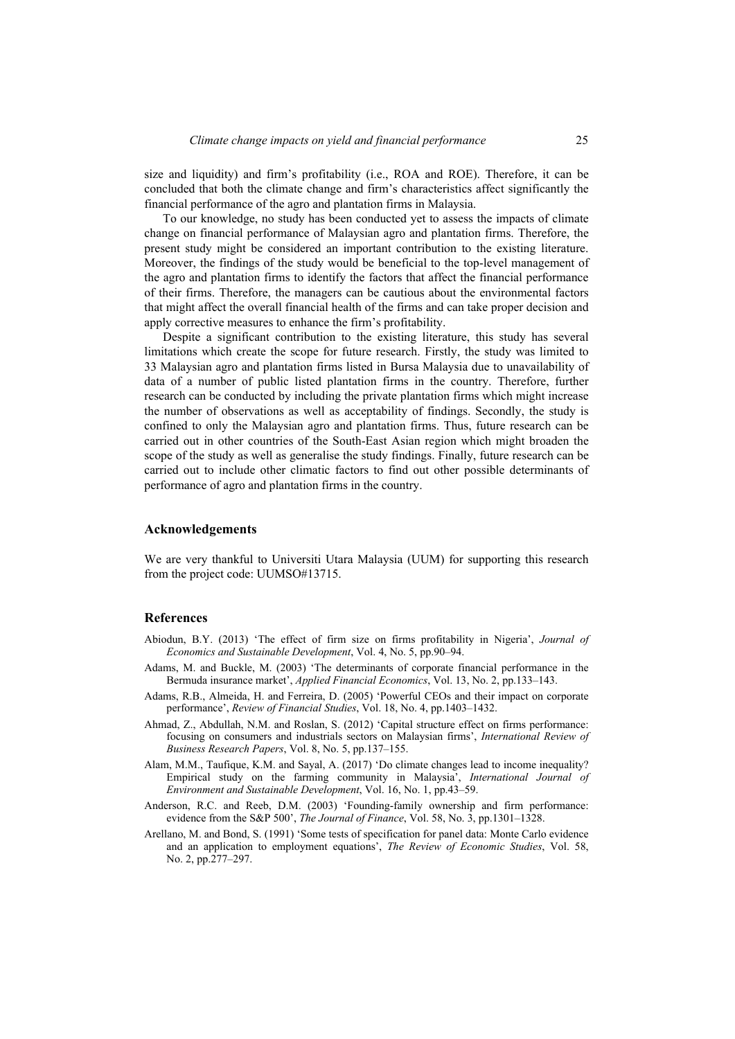size and liquidity) and firm's profitability (i.e., ROA and ROE). Therefore, it can be concluded that both the climate change and firm's characteristics affect significantly the financial performance of the agro and plantation firms in Malaysia.

To our knowledge, no study has been conducted yet to assess the impacts of climate change on financial performance of Malaysian agro and plantation firms. Therefore, the present study might be considered an important contribution to the existing literature. Moreover, the findings of the study would be beneficial to the top-level management of the agro and plantation firms to identify the factors that affect the financial performance of their firms. Therefore, the managers can be cautious about the environmental factors that might affect the overall financial health of the firms and can take proper decision and apply corrective measures to enhance the firm's profitability.

Despite a significant contribution to the existing literature, this study has several limitations which create the scope for future research. Firstly, the study was limited to 33 Malaysian agro and plantation firms listed in Bursa Malaysia due to unavailability of data of a number of public listed plantation firms in the country. Therefore, further research can be conducted by including the private plantation firms which might increase the number of observations as well as acceptability of findings. Secondly, the study is confined to only the Malaysian agro and plantation firms. Thus, future research can be carried out in other countries of the South-East Asian region which might broaden the scope of the study as well as generalise the study findings. Finally, future research can be carried out to include other climatic factors to find out other possible determinants of performance of agro and plantation firms in the country.

#### **Acknowledgements**

We are very thankful to Universiti Utara Malaysia (UUM) for supporting this research from the project code: UUMSO#13715.

### **References**

- Abiodun, B.Y. (2013) 'The effect of firm size on firms profitability in Nigeria', *Journal of Economics and Sustainable Development*, Vol. 4, No. 5, pp.90–94.
- Adams, M. and Buckle, M. (2003) 'The determinants of corporate financial performance in the Bermuda insurance market', *Applied Financial Economics*, Vol. 13, No. 2, pp.133–143.
- Adams, R.B., Almeida, H. and Ferreira, D. (2005) 'Powerful CEOs and their impact on corporate performance', *Review of Financial Studies*, Vol. 18, No. 4, pp.1403–1432.
- Ahmad, Z., Abdullah, N.M. and Roslan, S. (2012) 'Capital structure effect on firms performance: focusing on consumers and industrials sectors on Malaysian firms', *International Review of Business Research Papers*, Vol. 8, No. 5, pp.137–155.
- Alam, M.M., Taufique, K.M. and Sayal, A. (2017) 'Do climate changes lead to income inequality? Empirical study on the farming community in Malaysia', *International Journal of Environment and Sustainable Development*, Vol. 16, No. 1, pp.43–59.
- Anderson, R.C. and Reeb, D.M. (2003) 'Founding-family ownership and firm performance: evidence from the S&P 500', *The Journal of Finance*, Vol. 58, No. 3, pp.1301–1328.
- Arellano, M. and Bond, S. (1991) 'Some tests of specification for panel data: Monte Carlo evidence and an application to employment equations', *The Review of Economic Studies*, Vol. 58, No. 2, pp.277–297.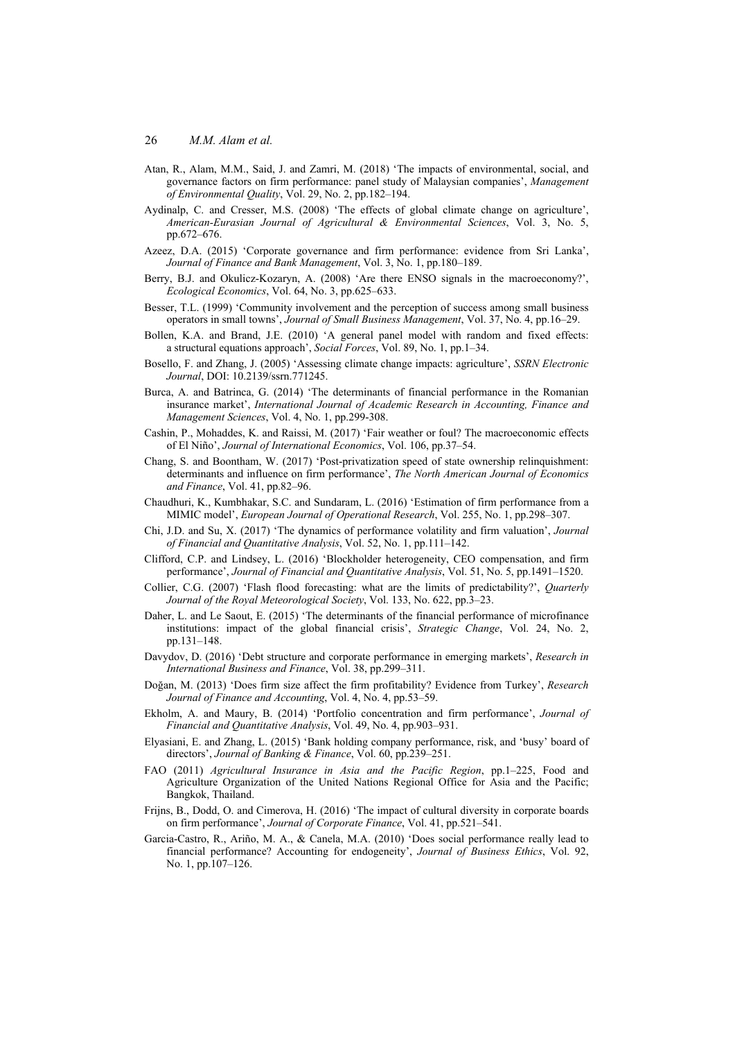- Atan, R., Alam, M.M., Said, J. and Zamri, M. (2018) 'The impacts of environmental, social, and governance factors on firm performance: panel study of Malaysian companies', *Management of Environmental Quality*, Vol. 29, No. 2, pp.182–194.
- Aydinalp, C. and Cresser, M.S. (2008) 'The effects of global climate change on agriculture', *American-Eurasian Journal of Agricultural & Environmental Sciences*, Vol. 3, No. 5, pp.672–676.
- Azeez, D.A. (2015) 'Corporate governance and firm performance: evidence from Sri Lanka', *Journal of Finance and Bank Management*, Vol. 3, No. 1, pp.180–189.
- Berry, B.J. and Okulicz-Kozaryn, A. (2008) 'Are there ENSO signals in the macroeconomy?', *Ecological Economics*, Vol. 64, No. 3, pp.625–633.
- Besser, T.L. (1999) 'Community involvement and the perception of success among small business operators in small towns', *Journal of Small Business Management*, Vol. 37, No. 4, pp.16–29.
- Bollen, K.A. and Brand, J.E. (2010) 'A general panel model with random and fixed effects: a structural equations approach', *Social Forces*, Vol. 89, No. 1, pp.1–34.
- Bosello, F. and Zhang, J. (2005) 'Assessing climate change impacts: agriculture', *SSRN Electronic Journal*, DOI: 10.2139/ssrn.771245.
- Burca, A. and Batrinca, G. (2014) 'The determinants of financial performance in the Romanian insurance market', *International Journal of Academic Research in Accounting, Finance and Management Sciences*, Vol. 4, No. 1, pp.299-308.
- Cashin, P., Mohaddes, K. and Raissi, M. (2017) 'Fair weather or foul? The macroeconomic effects of El Niño', *Journal of International Economics*, Vol. 106, pp.37–54.
- Chang, S. and Boontham, W. (2017) 'Post-privatization speed of state ownership relinquishment: determinants and influence on firm performance', *The North American Journal of Economics and Finance*, Vol. 41, pp.82–96.
- Chaudhuri, K., Kumbhakar, S.C. and Sundaram, L. (2016) 'Estimation of firm performance from a MIMIC model', *European Journal of Operational Research*, Vol. 255, No. 1, pp.298–307.
- Chi, J.D. and Su, X. (2017) 'The dynamics of performance volatility and firm valuation', *Journal of Financial and Quantitative Analysis*, Vol. 52, No. 1, pp.111–142.
- Clifford, C.P. and Lindsey, L. (2016) 'Blockholder heterogeneity, CEO compensation, and firm performance', *Journal of Financial and Quantitative Analysis*, Vol. 51, No. 5, pp.1491–1520.
- Collier, C.G. (2007) 'Flash flood forecasting: what are the limits of predictability?', *Quarterly Journal of the Royal Meteorological Society*, Vol. 133, No. 622, pp.3–23.
- Daher, L. and Le Saout, E. (2015) 'The determinants of the financial performance of microfinance institutions: impact of the global financial crisis', *Strategic Change*, Vol. 24, No. 2, pp.131–148.
- Davydov, D. (2016) 'Debt structure and corporate performance in emerging markets', *Research in International Business and Finance*, Vol. 38, pp.299–311.
- Doğan, M. (2013) 'Does firm size affect the firm profitability? Evidence from Turkey', *Research Journal of Finance and Accounting*, Vol. 4, No. 4, pp.53–59.
- Ekholm, A. and Maury, B. (2014) 'Portfolio concentration and firm performance', *Journal of Financial and Quantitative Analysis*, Vol. 49, No. 4, pp.903–931.
- Elyasiani, E. and Zhang, L. (2015) 'Bank holding company performance, risk, and 'busy' board of directors', *Journal of Banking & Finance*, Vol. 60, pp.239–251.
- FAO (2011) *Agricultural Insurance in Asia and the Pacific Region*, pp.1–225, Food and Agriculture Organization of the United Nations Regional Office for Asia and the Pacific; Bangkok, Thailand.
- Frijns, B., Dodd, O. and Cimerova, H. (2016) 'The impact of cultural diversity in corporate boards on firm performance', *Journal of Corporate Finance*, Vol. 41, pp.521–541.
- Garcia-Castro, R., Ariño, M. A., & Canela, M.A. (2010) 'Does social performance really lead to financial performance? Accounting for endogeneity', *Journal of Business Ethics*, Vol. 92, No. 1, pp.107–126.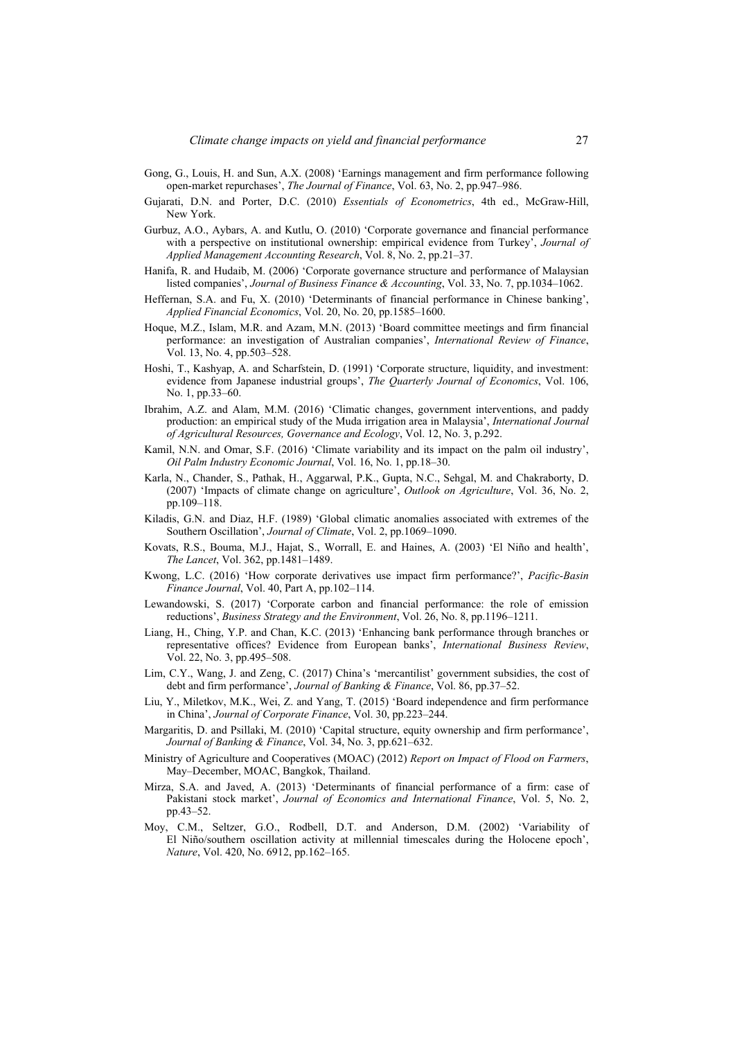- Gong, G., Louis, H. and Sun, A.X. (2008) 'Earnings management and firm performance following open-market repurchases', *The Journal of Finance*, Vol. 63, No. 2, pp.947–986.
- Gujarati, D.N. and Porter, D.C. (2010) *Essentials of Econometrics*, 4th ed., McGraw-Hill, New York.
- Gurbuz, A.O., Aybars, A. and Kutlu, O. (2010) 'Corporate governance and financial performance with a perspective on institutional ownership: empirical evidence from Turkey', *Journal of Applied Management Accounting Research*, Vol. 8, No. 2, pp.21–37.
- Hanifa, R. and Hudaib, M. (2006) 'Corporate governance structure and performance of Malaysian listed companies', *Journal of Business Finance & Accounting*, Vol. 33, No. 7, pp.1034–1062.
- Heffernan, S.A. and Fu, X. (2010) 'Determinants of financial performance in Chinese banking', *Applied Financial Economics*, Vol. 20, No. 20, pp.1585–1600.
- Hoque, M.Z., Islam, M.R. and Azam, M.N. (2013) 'Board committee meetings and firm financial performance: an investigation of Australian companies', *International Review of Finance*, Vol. 13, No. 4, pp.503–528.
- Hoshi, T., Kashyap, A. and Scharfstein, D. (1991) 'Corporate structure, liquidity, and investment: evidence from Japanese industrial groups', *The Quarterly Journal of Economics*, Vol. 106, No. 1, pp.33–60.
- Ibrahim, A.Z. and Alam, M.M. (2016) 'Climatic changes, government interventions, and paddy production: an empirical study of the Muda irrigation area in Malaysia', *International Journal of Agricultural Resources, Governance and Ecology*, Vol. 12, No. 3, p.292.
- Kamil, N.N. and Omar, S.F. (2016) 'Climate variability and its impact on the palm oil industry', *Oil Palm Industry Economic Journal*, Vol. 16, No. 1, pp.18–30.
- Karla, N., Chander, S., Pathak, H., Aggarwal, P.K., Gupta, N.C., Sehgal, M. and Chakraborty, D. (2007) 'Impacts of climate change on agriculture', *Outlook on Agriculture*, Vol. 36, No. 2, pp.109–118.
- Kiladis, G.N. and Diaz, H.F. (1989) 'Global climatic anomalies associated with extremes of the Southern Oscillation', *Journal of Climate*, Vol. 2, pp.1069–1090.
- Kovats, R.S., Bouma, M.J., Hajat, S., Worrall, E. and Haines, A. (2003) 'El Niño and health', *The Lancet*, Vol. 362, pp.1481–1489.
- Kwong, L.C. (2016) 'How corporate derivatives use impact firm performance?', *Pacific-Basin Finance Journal*, Vol. 40, Part A, pp.102–114.
- Lewandowski, S. (2017) 'Corporate carbon and financial performance: the role of emission reductions', *Business Strategy and the Environment*, Vol. 26, No. 8, pp.1196–1211.
- Liang, H., Ching, Y.P. and Chan, K.C. (2013) 'Enhancing bank performance through branches or representative offices? Evidence from European banks', *International Business Review*, Vol. 22, No. 3, pp.495–508.
- Lim, C.Y., Wang, J. and Zeng, C. (2017) China's 'mercantilist' government subsidies, the cost of debt and firm performance', *Journal of Banking & Finance*, Vol. 86, pp.37–52.
- Liu, Y., Miletkov, M.K., Wei, Z. and Yang, T. (2015) 'Board independence and firm performance in China', *Journal of Corporate Finance*, Vol. 30, pp.223–244.
- Margaritis, D. and Psillaki, M. (2010) 'Capital structure, equity ownership and firm performance', *Journal of Banking & Finance*, Vol. 34, No. 3, pp.621–632.
- Ministry of Agriculture and Cooperatives (MOAC) (2012) *Report on Impact of Flood on Farmers*, May–December, MOAC, Bangkok, Thailand.
- Mirza, S.A. and Javed, A. (2013) 'Determinants of financial performance of a firm: case of Pakistani stock market', *Journal of Economics and International Finance*, Vol. 5, No. 2, pp.43–52.
- Moy, C.M., Seltzer, G.O., Rodbell, D.T. and Anderson, D.M. (2002) 'Variability of El Niño/southern oscillation activity at millennial timescales during the Holocene epoch', *Nature*, Vol. 420, No. 6912, pp.162–165.